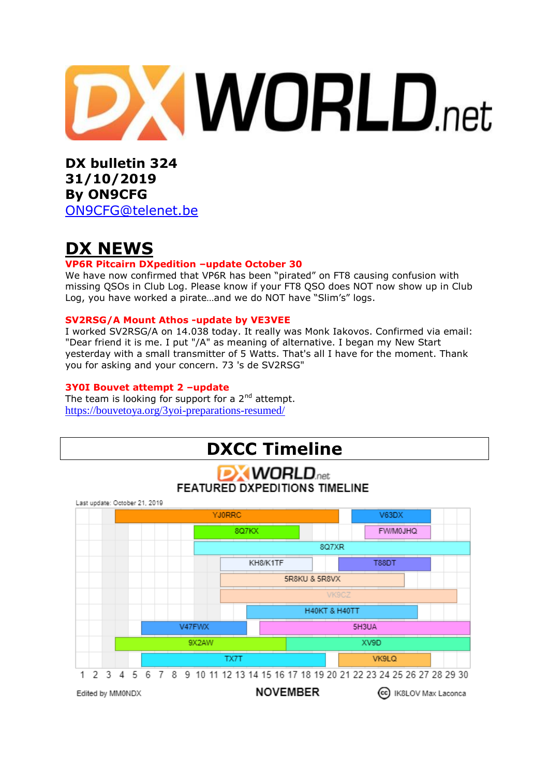

**DX bulletin 324 31/10/2019 By ON9CFG**  [ON9CFG@telenet.be](mailto:ON9CFG@telenet.be)

# **DX NEWS**

### **VP6R Pitcairn DXpedition –update October 30**

We have now confirmed that VP6R has been "pirated" on FT8 causing confusion with missing QSOs in Club Log. Please know if your FT8 QSO does NOT now show up in Club Log, you have worked a pirate…and we do NOT have "Slim's" logs.

### **SV2RSG/A Mount Athos -update by VE3VEE**

I worked SV2RSG/A on 14.038 today. It really was Monk Iakovos. Confirmed via email: "Dear friend it is me. I put "/A" as meaning of alternative. I began my New Start yesterday with a small transmitter of 5 Watts. That's all I have for the moment. Thank you for asking and your concern. 73 's de SV2RSG"

### **3Y0I Bouvet attempt 2 –update**

The team is looking for support for a  $2<sup>nd</sup>$  attempt. <https://bouvetoya.org/3yoi-preparations-resumed/>

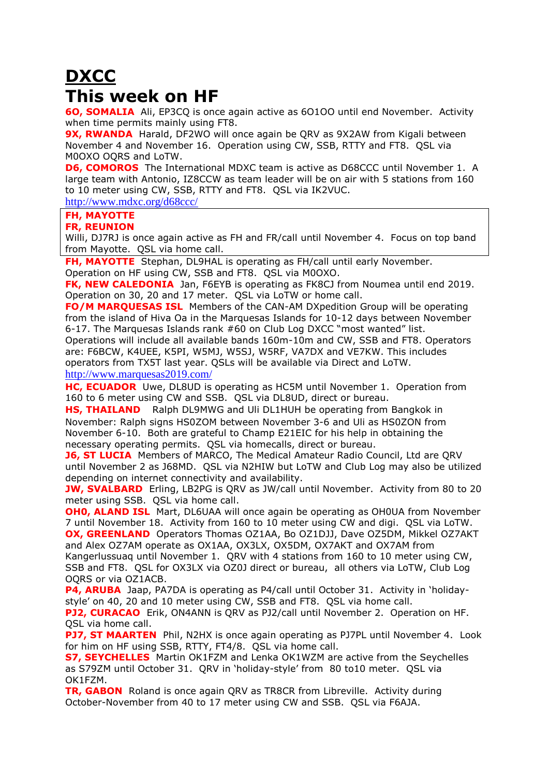# **DXCC This week on HF**

**6O, SOMALIA** Ali, EP3CQ is once again active as 6O1OO until end November. Activity when time permits mainly using FT8.

**9X, RWANDA** Harald, DF2WO will once again be QRV as 9X2AW from Kigali between November 4 and November 16. Operation using CW, SSB, RTTY and FT8. QSL via M0OXO OQRS and LoTW.

**D6, COMOROS** The International MDXC team is active as D68CCC until November 1. A large team with Antonio, IZ8CCW as team leader will be on air with 5 stations from 160 to 10 meter using CW, SSB, RTTY and FT8. QSL via IK2VUC.

<http://www.mdxc.org/d68ccc/>

#### **FH, MAYOTTE**

#### **FR, REUNION**

Willi, DJ7RJ is once again active as FH and FR/call until November 4. Focus on top band from Mayotte. QSL via home call.

**FH, MAYOTTE** Stephan, DL9HAL is operating as FH/call until early November.

Operation on HF using CW, SSB and FT8. QSL via M0OXO.

**FK, NEW CALEDONIA** Jan, F6EYB is operating as FK8CJ from Noumea until end 2019. Operation on 30, 20 and 17 meter. QSL via LoTW or home call.

**FO/M MARQUESAS ISL** Members of the CAN-AM DXpedition Group will be operating from the island of Hiva Oa in the Marquesas Islands for 10-12 days between November 6-17. The Marquesas Islands rank #60 on Club Log DXCC "most wanted" list.

Operations will include all available bands 160m-10m and CW, SSB and FT8. Operators are: F6BCW, K4UEE, K5PI, W5MJ, W5SJ, W5RF, VA7DX and VE7KW. This includes operators from TX5T last year. QSLs will be available via Direct and LoTW. <http://www.marquesas2019.com/>

**HC, ECUADOR** Uwe, DL8UD is operating as HC5M until November 1. Operation from 160 to 6 meter using CW and SSB. QSL via DL8UD, direct or bureau.

**HS, THAILAND** Ralph DL9MWG and Uli DL1HUH be operating from Bangkok in November: Ralph signs HS0ZOM between November 3-6 and Uli as HS0ZON from November 6-10. Both are grateful to Champ E21EIC for his help in obtaining the necessary operating permits. QSL via homecalls, direct or bureau.

**J6, ST LUCIA** Members of MARCO, The Medical Amateur Radio Council, Ltd are QRV until November 2 as J68MD. QSL via N2HIW but LoTW and Club Log may also be utilized depending on internet connectivity and availability.

**JW, SVALBARD** Erling, LB2PG is QRV as JW/call until November. Activity from 80 to 20 meter using SSB. QSL via home call.

**OHO, ALAND ISL** Mart, DL6UAA will once again be operating as OH0UA from November 7 until November 18. Activity from 160 to 10 meter using CW and digi. QSL via LoTW. **OX, GREENLAND** Operators Thomas OZ1AA, Bo OZ1DJJ, Dave OZ5DM, Mikkel OZ7AKT and Alex OZ7AM operate as OX1AA, OX3LX, OX5DM, OX7AKT and OX7AM from

Kangerlussuaq until November 1. QRV with 4 stations from 160 to 10 meter using CW, SSB and FT8. QSL for OX3LX via OZ0J direct or bureau, all others via LoTW, Club Log OQRS or via OZ1ACB.

**P4, ARUBA** Jaap, PA7DA is operating as P4/call until October 31. Activity in 'holidaystyle' on 40, 20 and 10 meter using CW, SSB and FT8. QSL via home call.

**PJ2, CURACAO** Erik, ON4ANN is ORV as PJ2/call until November 2. Operation on HF. QSL via home call.

**PJ7, ST MAARTEN** Phil, N2HX is once again operating as PJ7PL until November 4. Look for him on HF using SSB, RTTY, FT4/8. QSL via home call.

**S7, SEYCHELLES** Martin OK1FZM and Lenka OK1WZM are active from the Seychelles as S79ZM until October 31. QRV in 'holiday-style' from 80 to10 meter. QSL via OK1FZM.

**TR, GABON** Roland is once again QRV as TR8CR from Libreville. Activity during October-November from 40 to 17 meter using CW and SSB. QSL via F6AJA.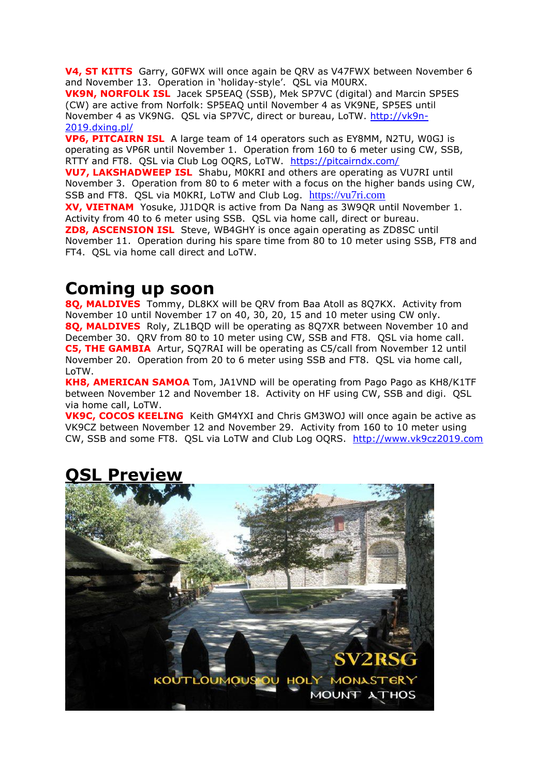**V4, ST KITTS** Garry, G0FWX will once again be QRV as V47FWX between November 6 and November 13. Operation in 'holiday-style'. QSL via M0URX.

**VK9N, NORFOLK ISL** Jacek SP5EAQ (SSB), Mek SP7VC (digital) and Marcin SP5ES (CW) are active from Norfolk: SP5EAQ until November 4 as VK9NE, SP5ES until November 4 as VK9NG. QSL via SP7VC, direct or bureau, LoTW. [http://vk9n-](http://vk9n-2019.dxing.pl/)[2019.dxing.pl/](http://vk9n-2019.dxing.pl/)

**VP6, PITCAIRN ISL** A large team of 14 operators such as EY8MM, N2TU, W0GJ is operating as VP6R until November 1. Operation from 160 to 6 meter using CW, SSB, RTTY and FT8. QSL via Club Log OQRS, LoTW. <https://pitcairndx.com/>

**VU7, LAKSHADWEEP ISL** Shabu, M0KRI and others are operating as VU7RI until November 3. Operation from 80 to 6 meter with a focus on the higher bands using CW, SSB and FT8. QSL via M0KRI, LoTW and Club Log. [https://vu7ri.com](https://vu7ri.com/)

**XV, VIETNAM** Yosuke, JJ1DQR is active from Da Nang as 3W9QR until November 1. Activity from 40 to 6 meter using SSB. QSL via home call, direct or bureau. **ZD8, ASCENSION ISL** Steve, WB4GHY is once again operating as ZD8SC until November 11. Operation during his spare time from 80 to 10 meter using SSB, FT8 and FT4. QSL via home call direct and LoTW.

# **Coming up soon**

**8Q, MALDIVES** Tommy, DL8KX will be QRV from Baa Atoll as 8Q7KX. Activity from November 10 until November 17 on 40, 30, 20, 15 and 10 meter using CW only. **8Q, MALDIVES** Roly, ZL1BQD will be operating as 8Q7XR between November 10 and December 30. QRV from 80 to 10 meter using CW, SSB and FT8. QSL via home call. **C5, THE GAMBIA** Artur, SQ7RAI will be operating as C5/call from November 12 until November 20. Operation from 20 to 6 meter using SSB and FT8. QSL via home call, LoTW.

**KH8, AMERICAN SAMOA** Tom, JA1VND will be operating from Pago Pago as KH8/K1TF between November 12 and November 18. Activity on HF using CW, SSB and digi. QSL via home call, LoTW.

**VK9C, COCOS KEELING** Keith GM4YXI and Chris GM3WOJ will once again be active as VK9CZ between November 12 and November 29. Activity from 160 to 10 meter using CW, SSB and some FT8. QSL via LoTW and Club Log OQRS. [http://www.vk9cz2019.com](http://www.vk9cz2019.com/)



# **QSL Preview**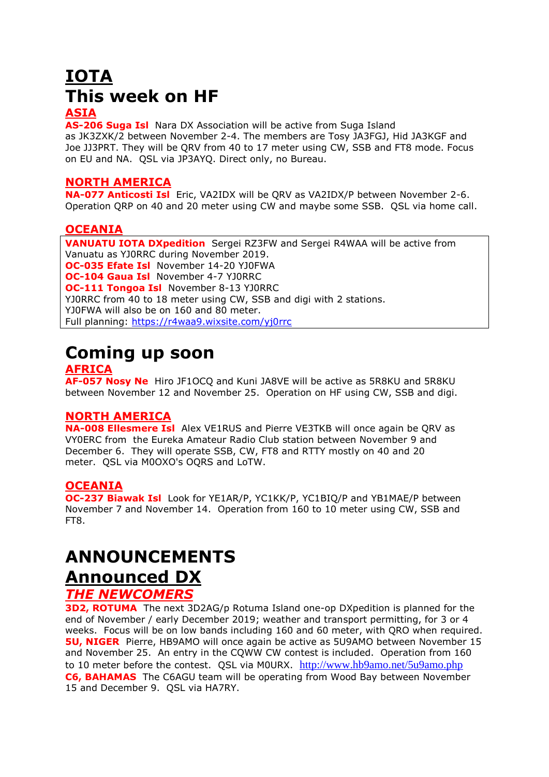# **IOTA This week on HF**

## **ASIA**

**AS-206 Suga Isl** Nara DX Association will be active from Suga Island as JK3ZXK/2 between November 2-4. The members are Tosy JA3FGJ, Hid JA3KGF and Joe JJ3PRT. They will be QRV from 40 to 17 meter using CW, SSB and FT8 mode. Focus on EU and NA. QSL via JP3AYQ. Direct only, no Bureau.

### **NORTH AMERICA**

**NA-077 Anticosti Isl** Eric, VA2IDX will be QRV as VA2IDX/P between November 2-6. Operation QRP on 40 and 20 meter using CW and maybe some SSB. QSL via home call.

### **OCEANIA**

**VANUATU IOTA DXpedition** Sergei RZ3FW and Sergei R4WAA will be active from Vanuatu as YJ0RRC during November 2019. **OC-035 Efate Isl** November 14-20 YJ0FWA **OC-104 Gaua Isl** November 4-7 YJ0RRC **OC-111 Tongoa Isl** November 8-13 YJ0RRC YJ0RRC from 40 to 18 meter using CW, SSB and digi with 2 stations. YJ0FWA will also be on 160 and 80 meter. Full planning:<https://r4waa9.wixsite.com/yj0rrc>

# **Coming up soon**

### **AFRICA**

**AF-057 Nosy Ne** Hiro JF1OCQ and Kuni JA8VE will be active as 5R8KU and 5R8KU between November 12 and November 25. Operation on HF using CW, SSB and digi.

## **NORTH AMERICA**

**NA-008 Ellesmere Isl** Alex VE1RUS and Pierre VE3TKB will once again be QRV as VY0ERC from the Eureka Amateur Radio Club station between November 9 and December 6. They will operate SSB, CW, FT8 and RTTY mostly on 40 and 20 meter. QSL via M0OXO's OQRS and LoTW.

## **OCEANIA**

**OC-237 Biawak Isl** Look for YE1AR/P, YC1KK/P, YC1BIQ/P and YB1MAE/P between November 7 and November 14. Operation from 160 to 10 meter using CW, SSB and FT8.

# **ANNOUNCEMENTS Announced DX**

# *THE NEWCOMERS*

**3D2, ROTUMA** The next 3D2AG/p Rotuma Island one-op DXpedition is planned for the end of November / early December 2019; weather and transport permitting, for 3 or 4 weeks. Focus will be on low bands including 160 and 60 meter, with QRO when required. **5U, NIGER** Pierre, HB9AMO will once again be active as 5U9AMO between November 15 and November 25. An entry in the CQWW CW contest is included. Operation from 160 to 10 meter before the contest. OSL via M0URX. <http://www.hb9amo.net/5u9amo.php> **C6, BAHAMAS** The C6AGU team will be operating from Wood Bay between November 15 and December 9. QSL via HA7RY.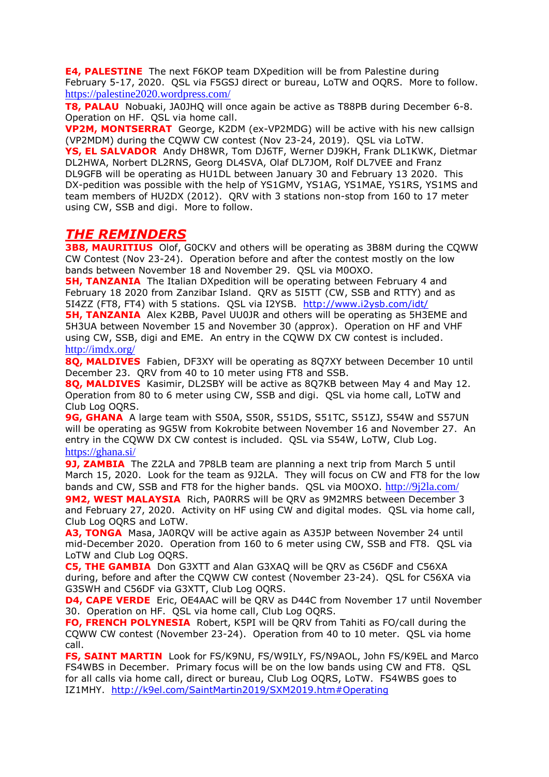**E4, PALESTINE** The next F6KOP team DXpedition will be from Palestine during February 5-17, 2020. QSL via F5GSJ direct or bureau, LoTW and OQRS. More to follow. <https://palestine2020.wordpress.com/>

**T8, PALAU** Nobuaki, JA0JHQ will once again be active as T88PB during December 6-8. Operation on HF. QSL via home call.

**VP2M, MONTSERRAT** George, K2DM (ex[-VP2MDG\)](https://dx-world.net/vp2mdg-vp2mmx-montserrat/) will be active with his new callsign (VP2MDM) during the CQWW CW contest (Nov 23-24, 2019). QSL via LoTW.

**YS, EL SALVADOR** Andy DH8WR, Tom DJ6TF, Werner DJ9KH, Frank DL1KWK, Dietmar DL2HWA, Norbert DL2RNS, Georg DL4SVA, Olaf DL7JOM, Rolf DL7VEE and Franz DL9GFB will be operating as HU1DL between January 30 and February 13 2020. This DX-pedition was possible with the help of YS1GMV, YS1AG, YS1MAE, YS1RS, YS1MS and team members of HU2DX (2012). QRV with 3 stations non-stop from 160 to 17 meter using CW, SSB and digi. More to follow.

# *THE REMINDERS*

**3B8, MAURITIUS** Olof, GOCKV and others will be operating as 3B8M during the CQWW CW Contest (Nov 23-24). Operation before and after the contest mostly on the low bands between November 18 and November 29. QSL via M0OXO.

**5H, TANZANIA** The Italian DXpedition will be operating between February 4 and February 18 2020 from Zanzibar Island. QRV as 5I5TT (CW, SSB and RTTY) and as 5I4ZZ (FT8, FT4) with 5 stations. QSL via I2YSB. <http://www.i2ysb.com/idt/>

**5H, TANZANIA** Alex K2BB, Pavel UU0JR and others will be operating as 5H3EME and 5H3UA between November 15 and November 30 (approx). Operation on HF and VHF using CW, SSB, digi and EME. An entry in the CQWW DX CW contest is included. <http://imdx.org/>

**8Q, MALDIVES** Fabien, DF3XY will be operating as 8Q7XY between December 10 until December 23. QRV from 40 to 10 meter using FT8 and SSB.

**8Q, MALDIVES** Kasimir, DL2SBY will be active as 8Q7KB between May 4 and May 12. Operation from 80 to 6 meter using CW, SSB and digi. QSL via home call, LoTW and Club Log OQRS.

**9G, GHANA** A large team with S50A, S50R, S51DS, S51TC, S51ZJ, S54W and S57UN will be operating as 9G5W from Kokrobite between November 16 and November 27. An entry in the CQWW DX CW contest is included. QSL via S54W, LoTW, Club Log. <https://ghana.si/>

**9J, ZAMBIA** The Z2LA and 7P8LB team are planning a next trip from March 5 until March 15, 2020. Look for the team as 9J2LA. They will focus on CW and FT8 for the low bands and CW, SSB and FT8 for the higher bands. QSL via M0OXO. <http://9j2la.com/> **9M2, WEST MALAYSIA** Rich, PA0RRS will be QRV as 9M2MRS between December 3 and February 27, 2020. Activity on HF using CW and digital modes. QSL via home call, Club Log OQRS and LoTW.

**A3, TONGA** Masa, JA0RQV will be active again as A35JP between November 24 until mid-December 2020. Operation from 160 to 6 meter using CW, SSB and FT8. QSL via LoTW and Club Log OQRS.

**C5, THE GAMBIA** Don G3XTT and Alan G3XAQ will be QRV as C56DF and C56XA during, before and after the CQWW CW contest (November 23-24). QSL for C56XA via G3SWH and C56DF via G3XTT, Club Log OQRS.

**D4, CAPE VERDE** Eric, OE4AAC will be QRV as D44C from November 17 until November 30. Operation on HF. QSL via home call, Club Log OQRS.

**FO, FRENCH POLYNESIA** Robert, K5PI will be QRV from Tahiti as FO/call during the CQWW CW contest (November 23-24). Operation from 40 to 10 meter. QSL via home call.

**FS, SAINT MARTIN** Look for FS/K9NU, FS/W9ILY, FS/N9AOL, John FS/K9EL and Marco FS4WBS in December. Primary focus will be on the low bands using CW and FT8. QSL for all calls via home call, direct or bureau, Club Log OQRS, LoTW. FS4WBS goes to IZ1MHY. <http://k9el.com/SaintMartin2019/SXM2019.htm#Operating>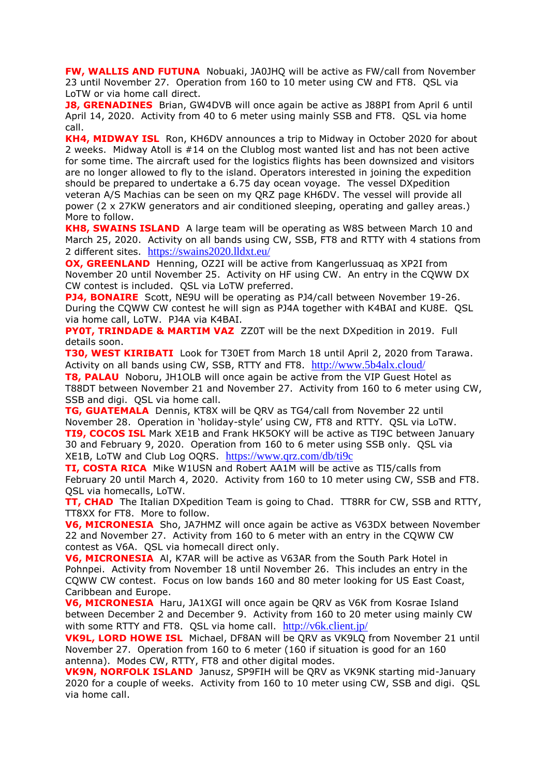**FW, WALLIS AND FUTUNA** Nobuaki, JA0JHQ will be active as FW/call from November 23 until November 27. Operation from 160 to 10 meter using CW and FT8. QSL via LoTW or via home call direct.

**J8, GRENADINES** Brian, GW4DVB will once again be active as J88PI from April 6 until April 14, 2020. Activity from 40 to 6 meter using mainly SSB and FT8. QSL via home call.

**KH4, MIDWAY ISL** Ron, KH6DV announces a trip to Midway in October 2020 for about 2 weeks. Midway Atoll is #14 on the Clublog most wanted list and has not been active for some time. The aircraft used for the logistics flights has been downsized and visitors are no longer allowed to fly to the island. Operators interested in joining the expedition should be prepared to undertake a 6.75 day ocean voyage. The vessel DXpedition veteran A/S Machias can be seen on my QRZ page KH6DV. The vessel will provide all power (2 x 27KW generators and air conditioned sleeping, operating and galley areas.) More to follow.

**KH8, SWAINS ISLAND** A large team will be operating as W8S between March 10 and March 25, 2020. Activity on all bands using CW, SSB, FT8 and RTTY with 4 stations from 2 different sites. <https://swains2020.lldxt.eu/>

**OX, GREENLAND** Henning, OZ2I will be active from Kangerlussuag as XP2I from November 20 until November 25. Activity on HF using CW. An entry in the CQWW DX CW contest is included. QSL via LoTW preferred.

**PJ4, BONAIRE** Scott, NE9U will be operating as PJ4/call between November 19-26. During the CQWW CW contest he will sign as PJ4A together with K4BAI and KU8E. QSL via home call, LoTW. PJ4A via K4BAI.

**PY0T, TRINDADE & MARTIM VAZ** ZZ0T will be the next DXpedition in 2019. Full details soon.

**T30, WEST KIRIBATI** Look for T30ET from March 18 until April 2, 2020 from Tarawa. Activity on all bands using CW, SSB, RTTY and FT8. <http://www.5b4alx.cloud/>

**T8, PALAU** Noboru, JH1OLB will once again be active from the VIP Guest Hotel as T88DT between November 21 and November 27. Activity from 160 to 6 meter using CW, SSB and digi. QSL via home call.

**TG, GUATEMALA** Dennis, KT8X will be QRV as TG4/call from November 22 until November 28. Operation in 'holiday-style' using CW, FT8 and RTTY. QSL via LoTW. **TI9, COCOS ISL** Mark XE1B and Frank HK5OKY will be active as TI9C between January 30 and February 9, 2020. Operation from 160 to 6 meter using SSB only. QSL via XE1B, LoTW and Club Log OQRS. <https://www.qrz.com/db/ti9c>

**TI, COSTA RICA** Mike W1USN and Robert AA1M will be active as TI5/calls from February 20 until March 4, 2020. Activity from 160 to 10 meter using CW, SSB and FT8. QSL via homecalls, LoTW.

**TT, CHAD** The Italian DXpedition Team is going to Chad. TT8RR for CW, SSB and RTTY, TT8XX for FT8. More to follow.

**V6, MICRONESIA** Sho, JA7HMZ will once again be active as V63DX between November 22 and November 27. Activity from 160 to 6 meter with an entry in the CQWW CW contest as V6A. QSL via homecall direct only.

**V6, MICRONESIA** Al, K7AR will be active as V63AR from the South Park Hotel in Pohnpei. Activity from November 18 until November 26. This includes an entry in the CQWW CW contest. Focus on low bands 160 and 80 meter looking for US East Coast, Caribbean and Europe.

**V6, MICRONESIA** Haru, JA1XGI will once again be QRV as V6K from Kosrae Island between December 2 and December 9. Activity from 160 to 20 meter using mainly CW with some RTTY and FT8. QSL via home call. <http://v6k.client.jp/>

**VK9L, LORD HOWE ISL** Michael, DF8AN will be QRV as VK9LQ from November 21 until November 27. Operation from 160 to 6 meter (160 if situation is good for an 160 antenna). Modes CW, RTTY, FT8 and other digital modes.

**VK9N, NORFOLK ISLAND** Janusz, SP9FIH will be QRV as VK9NK starting mid-January 2020 for a couple of weeks. Activity from 160 to 10 meter using CW, SSB and digi. QSL via home call.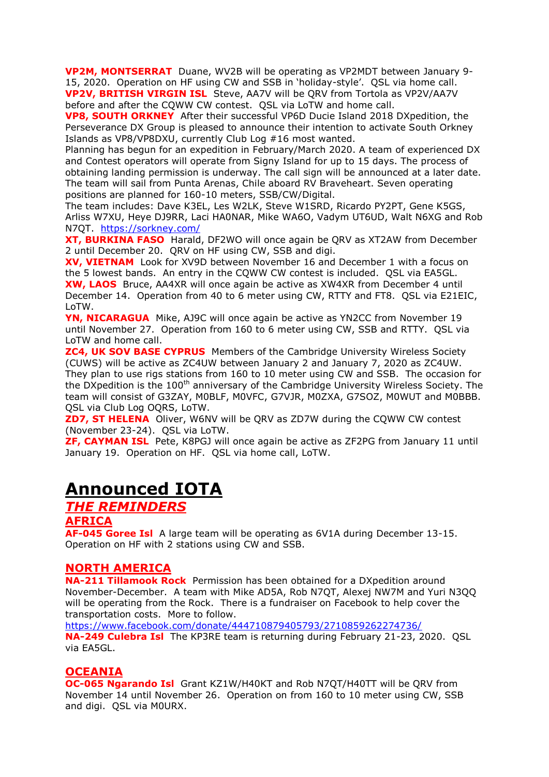**VP2M, MONTSERRAT** Duane, WV2B will be operating as VP2MDT between January 9- 15, 2020. Operation on HF using CW and SSB in 'holiday-style'. QSL via home call. **VP2V, BRITISH VIRGIN ISL** Steve, AA7V will be QRV from Tortola as VP2V/AA7V before and after the CQWW CW contest. QSL via LoTW and home call.

**VP8, SOUTH ORKNEY** After their successful VP6D Ducie Island 2018 DXpedition, the Perseverance DX Group is pleased to announce their intention to activate South Orkney Islands as VP8/VP8DXU, currently Club Log #16 most wanted.

Planning has begun for an expedition in February/March 2020. A team of experienced DX and Contest operators will operate from Signy Island for up to 15 days. The process of obtaining landing permission is underway. The call sign will be announced at a later date. The team will sail from Punta Arenas, Chile aboard RV Braveheart. Seven operating positions are planned for 160-10 meters, SSB/CW/Digital.

The team includes: Dave K3EL, Les W2LK, Steve W1SRD, Ricardo PY2PT, Gene K5GS, Arliss W7XU, Heye DJ9RR, Laci HA0NAR, Mike WA6O, Vadym UT6UD, Walt N6XG and Rob N7QT. <https://sorkney.com/>

**XT, BURKINA FASO** Harald, DF2WO will once again be QRV as XT2AW from December 2 until December 20. QRV on HF using CW, SSB and digi.

**XV, VIETNAM** Look for XV9D between November 16 and December 1 with a focus on the 5 lowest bands. An entry in the CQWW CW contest is included. QSL via EA5GL. **XW, LAOS** Bruce, AA4XR will once again be active as XW4XR from December 4 until December 14. Operation from 40 to 6 meter using CW, RTTY and FT8. QSL via E21EIC, LoTW.

**YN, NICARAGUA** Mike, AJ9C will once again be active as YN2CC from November 19 until November 27. Operation from 160 to 6 meter using CW, SSB and RTTY. QSL via LoTW and home call.

**ZC4, UK SOV BASE CYPRUS** Members of the Cambridge University Wireless Society (CUWS) will be active as ZC4UW between January 2 and January 7, 2020 as ZC4UW. They plan to use rigs stations from 160 to 10 meter using CW and SSB. The occasion for the DXpedition is the  $100<sup>th</sup>$  anniversary of the Cambridge University Wireless Society. The team will consist of G3ZAY, M0BLF, M0VFC, G7VJR, M0ZXA, G7SOZ, M0WUT and M0BBB. QSL via Club Log OQRS, LoTW.

**ZD7, ST HELENA** Oliver, W6NV will be QRV as ZD7W during the CQWW CW contest (November 23-24). QSL via LoTW.

**ZF, CAYMAN ISL** Pete, K8PGJ will once again be active as ZF2PG from January 11 until January 19. Operation on HF. QSL via home call, LoTW.

# **Announced IOTA**

### *THE REMINDERS*

#### **AFRICA**

**AF-045 Goree Isl** A large team will be operating as 6V1A during December 13-15. Operation on HF with 2 stations using CW and SSB.

### **NORTH AMERICA**

**NA-211 Tillamook Rock** Permission has been obtained for a DXpedition around November-December. A team with Mike AD5A, Rob N7QT, Alexej NW7M and Yuri N3QQ will be operating from the Rock. There is a fundraiser on Facebook to help cover the transportation costs. More to follow.

<https://www.facebook.com/donate/444710879405793/2710859262274736/> **NA-249 Culebra Isl** The KP3RE team is returning during February 21-23, 2020. QSL via EA5GL.

### **OCEANIA**

**OC-065 Ngarando Isl** Grant KZ1W/H40KT and Rob N7QT/H40TT will be QRV from November 14 until November 26. Operation on from 160 to 10 meter using CW, SSB and digi. QSL via M0URX.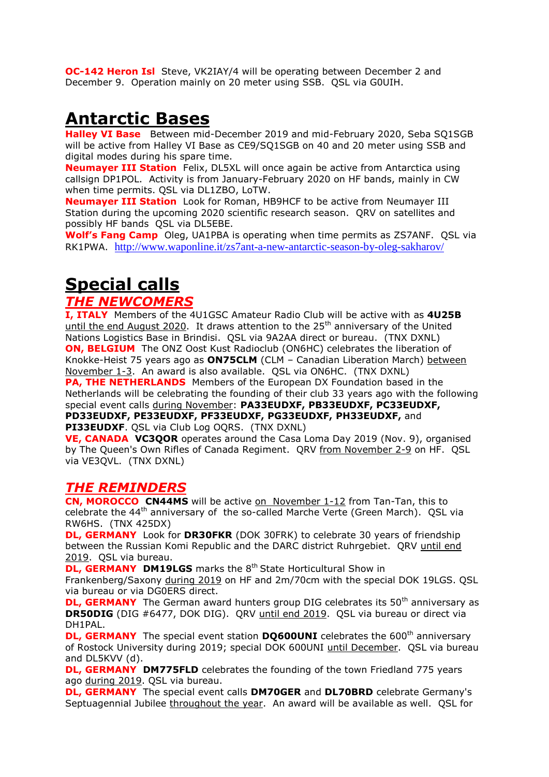**OC-142 Heron Isl** Steve, VK2IAY/4 will be operating between December 2 and December 9. Operation mainly on 20 meter using SSB. QSL via G0UIH.

# **Antarctic Bases**

**Halley VI Base** Between mid-December 2019 and mid-February 2020, Seba SQ1SGB will be active from Halley VI Base as CE9/SQ1SGB on 40 and 20 meter using SSB and digital modes during his spare time.

**Neumayer III Station** Felix, DL5XL will once again be active from Antarctica using callsign DP1POL. Activity is from January-February 2020 on HF bands, mainly in CW when time permits. QSL via DL1ZBO, LoTW.

**Neumayer III Station** Look for Roman, HB9HCF to be active from Neumayer III Station during the upcoming 2020 scientific research season. QRV on satellites and possibly HF bands QSL via DL5EBE.

**Wolf's Fang Camp** Oleg, UA1PBA is operating when time permits as ZS7ANF. QSL via RK1PWA. <http://www.waponline.it/zs7ant-a-new-antarctic-season-by-oleg-sakharov/>

# **Special calls**

# *THE NEWCOMERS*

**I, ITALY** Members of the 4U1GSC Amateur Radio Club will be active with as **4U25B** until the end August 2020. It draws attention to the 25<sup>th</sup> anniversary of the United Nations Logistics Base in Brindisi. QSL via 9A2AA direct or bureau. (TNX DXNL) **ON, BELGIUM** The ONZ Oost Kust Radioclub (ON6HC) celebrates the liberation of Knokke-Heist 75 years ago as **ON75CLM** (CLM – Canadian Liberation March) between November 1-3. An award is also available. QSL via ON6HC. (TNX DXNL)

**PA, THE NETHERLANDS** Members of the European DX Foundation based in the Netherlands will be celebrating the founding of their club 33 years ago with the following special event calls during November: **PA33EUDXF, PB33EUDXF, PC33EUDXF, PD33EUDXF, PE33EUDXF, PF33EUDXF, PG33EUDXF, PH33EUDXF,** and

**PI33EUDXF**. QSL via Club Log OQRS. (TNX DXNL)

**VE, CANADA VC3QOR** operates around the Casa Loma Day 2019 (Nov. 9), organised by The Queen's Own Rifles of Canada Regiment. QRV from November 2-9 on HF. QSL via VE3QVL. (TNX DXNL)

# *THE REMINDERS*

**CN, MOROCCO CN44MS** will be active on November 1-12 from Tan-Tan, this to celebrate the 44<sup>th</sup> anniversary of the so-called Marche Verte (Green March). QSL via RW6HS. (TNX 425DX)

**DL, GERMANY** Look for **DR30FKR** (DOK 30FRK) to celebrate 30 years of friendship between the Russian Komi Republic and the DARC district Ruhrgebiet. QRV until end 2019. QSL via bureau.

**DL, GERMANY DM19LGS** marks the 8<sup>th</sup> State Horticultural Show in

Frankenberg/Saxony during 2019 on HF and 2m/70cm with the special DOK 19LGS. QSL via bureau or via DG0ERS direct.

**DL, GERMANY** The German award hunters group DIG celebrates its 50<sup>th</sup> anniversary as **DR50DIG** (DIG #6477, DOK DIG). QRV until end 2019. QSL via bureau or direct via DH1PAL.

**DL, GERMANY** The special event station **DQ600UNI** celebrates the 600<sup>th</sup> anniversary of Rostock University during 2019; special DOK 600UNI until December. QSL via bureau and DL5KVV (d).

**DL, GERMANY DM775FLD** celebrates the founding of the town Friedland 775 years ago during 2019. QSL via bureau.

**DL, GERMANY** The special event calls **DM70GER** and **DL70BRD** celebrate Germany's Septuagennial Jubilee throughout the year. An award will be available as well. OSL for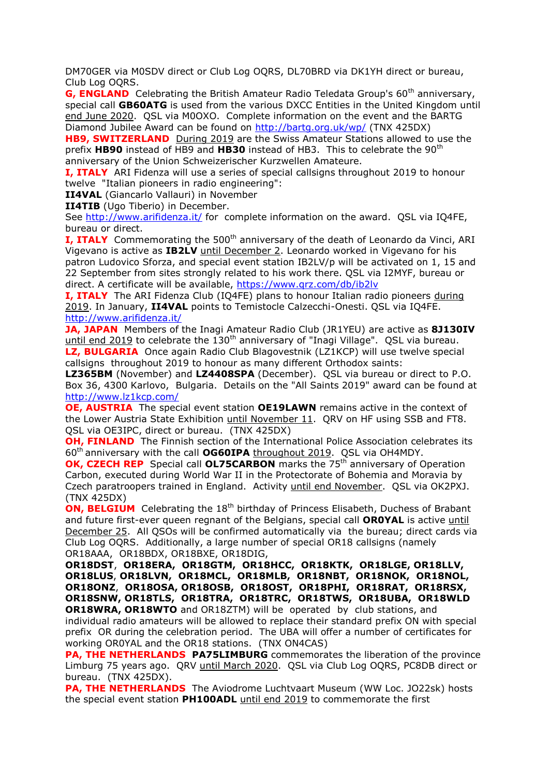DM70GER via M0SDV direct or Club Log OQRS, DL70BRD via DK1YH direct or bureau, Club Log OQRS.

**G, ENGLAND** Celebrating the British Amateur Radio Teledata Group's 60<sup>th</sup> anniversary, special call **GB60ATG** is used from the various DXCC Entities in the United Kingdom until end June 2020. QSL via M0OXO. Complete information on the event and the BARTG Diamond Jubilee Award can be found on<http://bartg.org.uk/wp/> (TNX 425DX)

**HB9, SWITZERLAND** During 2019 are the Swiss Amateur Stations allowed to use the prefix HB90 instead of HB9 and HB30 instead of HB3. This to celebrate the 90<sup>th</sup> anniversary of the Union Schweizerischer Kurzwellen Amateure.

**I, ITALY** ARI Fidenza will use a series of special callsigns throughout 2019 to honour twelve "Italian pioneers in radio engineering":

**II4VAL** (Giancarlo Vallauri) in November

**II4TIB** (Ugo Tiberio) in December.

See<http://www.arifidenza.it/> for complete information on the award. QSL via IQ4FE, bureau or direct.

**I, ITALY** Commemorating the 500<sup>th</sup> anniversary of the death of Leonardo da Vinci, ARI Vigevano is active as **IB2LV** until December 2. Leonardo worked in Vigevano for his patron Ludovico Sforza, and special event station IB2LV/p will be activated on 1, 15 and 22 September from sites strongly related to his work there. QSL via I2MYF, bureau or direct. A certificate will be available,<https://www.qrz.com/db/ib2lv>

**I, ITALY** The ARI Fidenza Club (IQ4FE) plans to honour Italian radio pioneers during 2019. In January, **II4VAL** points to Temistocle Calzecchi-Onesti. QSL via IQ4FE. <http://www.arifidenza.it/>

**JA, JAPAN** Members of the Inagi Amateur Radio Club (JR1YEU) are active as **8J130IV** until end 2019 to celebrate the  $130<sup>th</sup>$  anniversary of "Inagi Village". QSL via bureau. **LZ, BULGARIA** Once again Radio Club Blagovestnik (LZ1KCP) will use twelve special callsigns throughout 2019 to honour as many different Orthodox saints:

**LZ365BM** (November) and **LZ4408SPA** (December). QSL via bureau or direct to P.O. Box 36, 4300 Karlovo, Bulgaria. Details on the "All Saints 2019" award can be found at <http://www.lz1kcp.com/>

**OE, AUSTRIA** The special event station **OE19LAWN** remains active in the context of the Lower Austria State Exhibition until November 11. QRV on HF using SSB and FT8. QSL via OE3IPC, direct or bureau. (TNX 425DX)

**OH, FINLAND** The Finnish section of the International Police Association celebrates its 60th anniversary with the call **OG60IPA** throughout 2019. QSL via OH4MDY.

**OK, CZECH REP** Special call **OL75CARBON** marks the 75<sup>th</sup> anniversary of Operation Carbon, executed during World War II in the Protectorate of Bohemia and Moravia by Czech paratroopers trained in England. Activity until end November. QSL via OK2PXJ. (TNX 425DX)

**ON, BELGIUM** Celebrating the 18<sup>th</sup> birthday of Princess Elisabeth, Duchess of Brabant and future first-ever queen regnant of the Belgians, special call **OR0YAL** is active until December 25. All QSOs will be confirmed automatically via the bureau; direct cards via Club Log OQRS. Additionally, a large number of special OR18 callsigns (namely OR18AAA, OR18BDX, OR18BXE, OR18DIG,

**OR18DST**, **OR18ERA, OR18GTM, OR18HCC, OR18KTK, OR18LGE, OR18LLV, OR18LUS**, **OR18LVN, OR18MCL, OR18MLB, OR18NBT, OR18NOK, OR18NOL, OR18ONZ**, **OR18OSA, OR18OSB, OR18OST, OR18PHI, OR18RAT, OR18RSX, OR18SNW, OR18TLS, OR18TRA, OR18TRC, OR18TWS, OR18UBA, OR18WLD OR18WRA, OR18WTO** and OR18ZTM) will be operated by club stations, and individual radio amateurs will be allowed to replace their standard prefix ON with special prefix OR during the celebration period. The UBA will offer a number of certificates for working OR0YAL and the OR18 stations. (TNX ON4CAS)

**PA, THE NETHERLANDS PA75LIMBURG** commemorates the liberation of the province Limburg 75 years ago. QRV until March 2020. QSL via Club Log OQRS, PC8DB direct or bureau. (TNX 425DX).

**PA, THE NETHERLANDS** The Aviodrome Luchtvaart Museum (WW Loc. JO22sk) hosts the special event station **PH100ADL** until end 2019 to commemorate the first